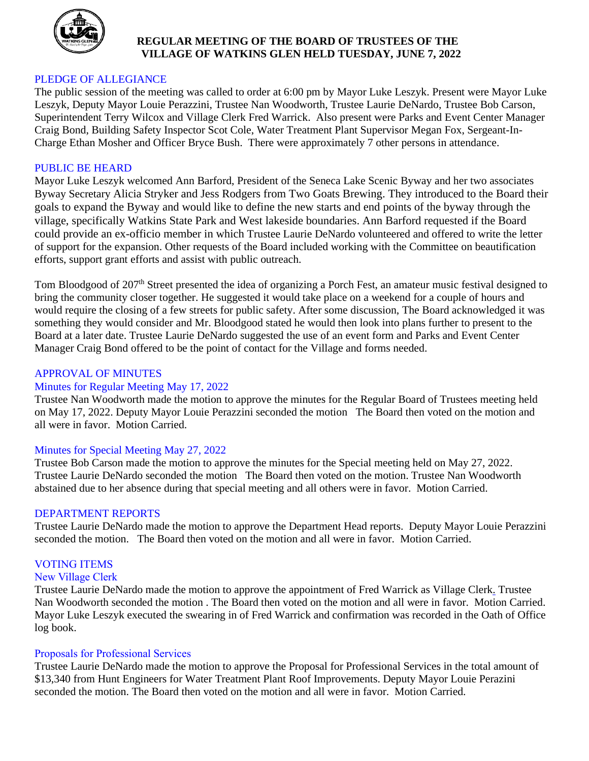

# **REGULAR MEETING OF THE BOARD OF TRUSTEES OF THE VILLAGE OF WATKINS GLEN HELD TUESDAY, JUNE 7, 2022**

# PLEDGE OF ALLEGIANCE

The public session of the meeting was called to order at 6:00 pm by Mayor Luke Leszyk. Present were Mayor Luke Leszyk, Deputy Mayor Louie Perazzini, Trustee Nan Woodworth, Trustee Laurie DeNardo, Trustee Bob Carson, Superintendent Terry Wilcox and Village Clerk Fred Warrick. Also present were Parks and Event Center Manager Craig Bond, Building Safety Inspector Scot Cole, Water Treatment Plant Supervisor Megan Fox, Sergeant-In-Charge Ethan Mosher and Officer Bryce Bush. There were approximately 7 other persons in attendance.

#### PUBLIC BE HEARD

Mayor Luke Leszyk welcomed Ann Barford, President of the Seneca Lake Scenic Byway and her two associates Byway Secretary Alicia Stryker and Jess Rodgers from Two Goats Brewing. They introduced to the Board their goals to expand the Byway and would like to define the new starts and end points of the byway through the village, specifically Watkins State Park and West lakeside boundaries. Ann Barford requested if the Board could provide an ex-officio member in which Trustee Laurie DeNardo volunteered and offered to write the letter of support for the expansion. Other requests of the Board included working with the Committee on beautification efforts, support grant efforts and assist with public outreach.

Tom Bloodgood of 207<sup>th</sup> Street presented the idea of organizing a Porch Fest, an amateur music festival designed to bring the community closer together. He suggested it would take place on a weekend for a couple of hours and would require the closing of a few streets for public safety. After some discussion, The Board acknowledged it was something they would consider and Mr. Bloodgood stated he would then look into plans further to present to the Board at a later date. Trustee Laurie DeNardo suggested the use of an event form and Parks and Event Center Manager Craig Bond offered to be the point of contact for the Village and forms needed.

#### APPROVAL OF MINUTES

#### Minutes for Regular Meeting May 17, 2022

Trustee Nan Woodworth made the motion to approve the minutes for the Regular Board of Trustees meeting held on May 17, 2022. Deputy Mayor Louie Perazzini seconded the motion The Board then voted on the motion and all were in favor. Motion Carried.

# Minutes for Special Meeting May 27, 2022

Trustee Bob Carson made the motion to approve the minutes for the Special meeting held on May 27, 2022. Trustee Laurie DeNardo seconded the motion The Board then voted on the motion. Trustee Nan Woodworth abstained due to her absence during that special meeting and all others were in favor. Motion Carried.

#### DEPARTMENT REPORTS

Trustee Laurie DeNardo made the motion to approve the Department Head reports. Deputy Mayor Louie Perazzini seconded the motion. The Board then voted on the motion and all were in favor. Motion Carried.

### VOTING ITEMS

#### New Village Clerk

Trustee Laurie DeNardo made the motion to approve the appointment of Fred Warrick as Village Clerk. Trustee Nan Woodworth seconded the motion . The Board then voted on the motion and all were in favor. Motion Carried. Mayor Luke Leszyk executed the swearing in of Fred Warrick and confirmation was recorded in the Oath of Office log book.

#### Proposals for Professional Services

Trustee Laurie DeNardo made the motion to approve the Proposal for Professional Services in the total amount of \$13,340 from Hunt Engineers for Water Treatment Plant Roof Improvements. Deputy Mayor Louie Perazini seconded the motion. The Board then voted on the motion and all were in favor. Motion Carried.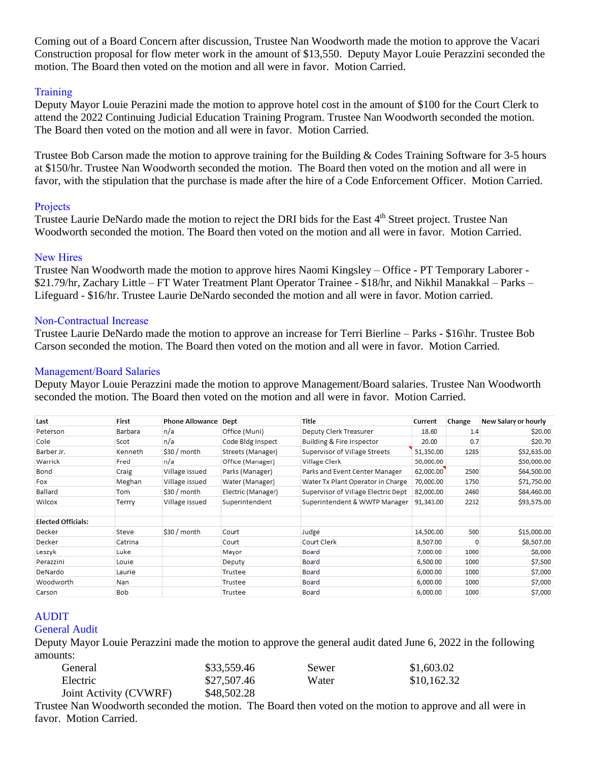Coming out of a Board Concern after discussion, Trustee Nan Woodworth made the motion to approve the Vacari Construction proposal for flow meter work in the amount of \$13,550. Deputy Mayor Louie Perazzini seconded the motion. The Board then voted on the motion and all were in favor. Motion Carried.

# **Training**

Deputy Mayor Louie Perazini made the motion to approve hotel cost in the amount of \$100 for the Court Clerk to attend the 2022 Continuing Judicial Education Training Program. Trustee Nan Woodworth seconded the motion. The Board then voted on the motion and all were in favor. Motion Carried.

Trustee Bob Carson made the motion to approve training for the Building & Codes Training Software for 3-5 hours at \$150/hr. Trustee Nan Woodworth seconded the motion. The Board then voted on the motion and all were in favor, with the stipulation that the purchase is made after the hire of a Code Enforcement Officer. Motion Carried.

# Projects

Trustee Laurie DeNardo made the motion to reject the DRI bids for the East 4<sup>th</sup> Street project. Trustee Nan Woodworth seconded the motion. The Board then voted on the motion and all were in favor. Motion Carried.

# New Hires

Trustee Nan Woodworth made the motion to approve hires Naomi Kingsley – Office - PT Temporary Laborer - \$21.79/hr, Zachary Little – FT Water Treatment Plant Operator Trainee - \$18/hr, and Nikhil Manakkal – Parks – Lifeguard - \$16/hr. Trustee Laurie DeNardo seconded the motion and all were in favor. Motion carried.

# Non-Contractual Increase

Trustee Laurie DeNardo made the motion to approve an increase for Terri Bierline – Parks - \$16\hr. Trustee Bob Carson seconded the motion. The Board then voted on the motion and all were in favor. Motion Carried.

# Management/Board Salaries

Deputy Mayor Louie Perazzini made the motion to approve Management/Board salaries. Trustee Nan Woodworth seconded the motion. The Board then voted on the motion and all were in favor. Motion Carried.

| Last                      | <b>First</b>   | <b>Phone Allowance</b> | <b>Dept</b>        | Title                                | <b>Current</b> | Change | <b>New Salary or hourly</b> |
|---------------------------|----------------|------------------------|--------------------|--------------------------------------|----------------|--------|-----------------------------|
| Peterson                  | Barbara        | n/a                    | Office (Muni)      | Deputy Clerk Treasurer               | 18.60          | 1.4    | \$20.00                     |
| Cole                      | Scot           | n/a                    | Code Bldg Inspect  | <b>Building &amp; Fire Inspector</b> | 20.00          | 0.7    | \$20.70                     |
| Barber Jr.                | <b>Kenneth</b> | $$30/m$ onth           | Streets (Manager)  | Supervisor of Village Streets        | 51,350.00      | 1285   | \$52,635.00                 |
| Warrick                   | Fred           | n/a                    | Office (Manager)   | <b>Village Clerk</b>                 | 50,000.00      |        | \$50,000.00                 |
| Bond                      | Craig          | Village issued         | Parks (Manager)    | Parks and Event Center Manager       | 62,000.00      | 2500   | \$64,500.00                 |
| Fox                       | Meghan         | Village issued         | Water (Manager)    | Water Tx Plant Operator in Charge    | 70,000.00      | 1750   | \$71,750.00                 |
| <b>Ballard</b>            | Tom            | $$30/m$ onth           | Electric (Manager) | Supervisor of Village Electric Dept  | 82,000.00      | 2460   | \$84,460.00                 |
| Wilcox                    | Terrry         | Village issued         | Superintendent     | Superintendent & WWTP Manager        | 91,343.00      | 2232   | \$93,575.00                 |
| <b>Elected Officials:</b> |                |                        |                    |                                      |                |        |                             |
| Decker                    | Steve          | $$30/m$ onth           | Court              | Judge                                | 14,500.00      | 500    | \$15,000.00                 |
| Decker                    | Catrina        |                        | Court              | <b>Court Clerk</b>                   | 8,507.00       | 0      | \$8,507.00                  |
| Leszyk                    | Luke           |                        | Mayor              | Board                                | 7,000.00       | 1000   | \$8,000                     |
| Perazzini                 | Louie          |                        | Deputy             | Board                                | 6,500.00       | 1000   | \$7,500                     |
| <b>DeNardo</b>            | Laurie         |                        | Trustee            | Board                                | 6,000.00       | 1000   | \$7,000                     |
| Woodworth                 | Nan            |                        | Trustee            | Board                                | 6,000.00       | 1000   | \$7,000                     |
| Carson                    | <b>Bob</b>     |                        | Trustee            | Board                                | 6,000.00       | 1000   | \$7,000                     |

# AUDIT

# General Audit

Deputy Mayor Louie Perazzini made the motion to approve the general audit dated June 6, 2022 in the following amounts:

| General                | \$33,559.46 | Sewer | \$1,603.02  |
|------------------------|-------------|-------|-------------|
| Electric               | \$27,507.46 | Water | \$10,162.32 |
| Joint Activity (CVWRF) | \$48,502.28 |       |             |

Trustee Nan Woodworth seconded the motion. The Board then voted on the motion to approve and all were in favor. Motion Carried.